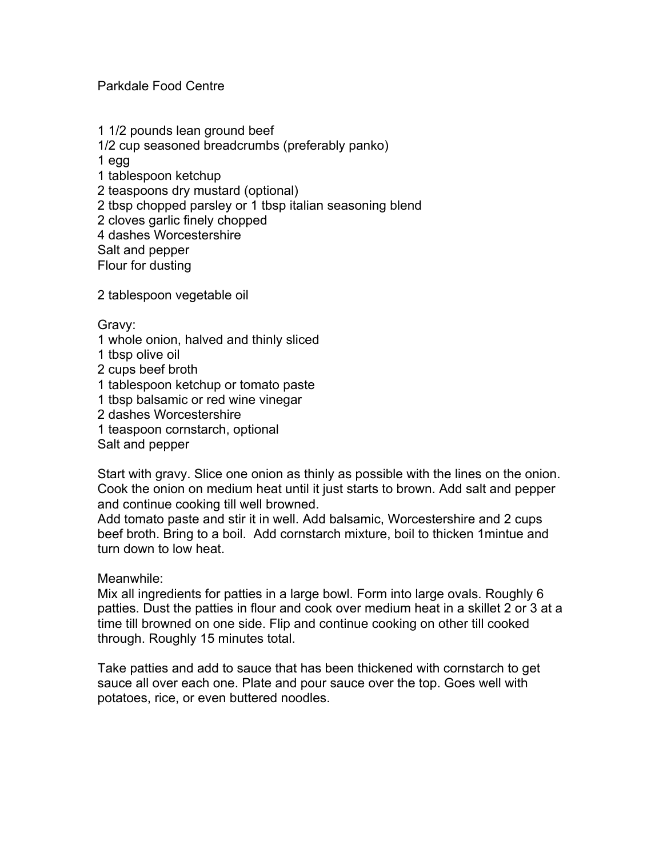Parkdale Food Centre

1 1/2 pounds lean ground beef 1/2 cup seasoned breadcrumbs (preferably panko) 1 egg 1 tablespoon ketchup 2 teaspoons dry mustard (optional) 2 tbsp chopped parsley or 1 tbsp italian seasoning blend 2 cloves garlic finely chopped 4 dashes Worcestershire Salt and pepper Flour for dusting

2 tablespoon vegetable oil

Gravy:

- 1 whole onion, halved and thinly sliced
- 1 tbsp olive oil
- 2 cups beef broth
- 1 tablespoon ketchup or tomato paste
- 1 tbsp balsamic or red wine vinegar
- 2 dashes Worcestershire
- 1 teaspoon cornstarch, optional

Salt and pepper

Start with gravy. Slice one onion as thinly as possible with the lines on the onion. Cook the onion on medium heat until it just starts to brown. Add salt and pepper and continue cooking till well browned.

Add tomato paste and stir it in well. Add balsamic, Worcestershire and 2 cups beef broth. Bring to a boil. Add cornstarch mixture, boil to thicken 1mintue and turn down to low heat.

### Meanwhile:

Mix all ingredients for patties in a large bowl. Form into large ovals. Roughly 6 patties. Dust the patties in flour and cook over medium heat in a skillet 2 or 3 at a time till browned on one side. Flip and continue cooking on other till cooked through. Roughly 15 minutes total.

Take patties and add to sauce that has been thickened with cornstarch to get sauce all over each one. Plate and pour sauce over the top. Goes well with potatoes, rice, or even buttered noodles.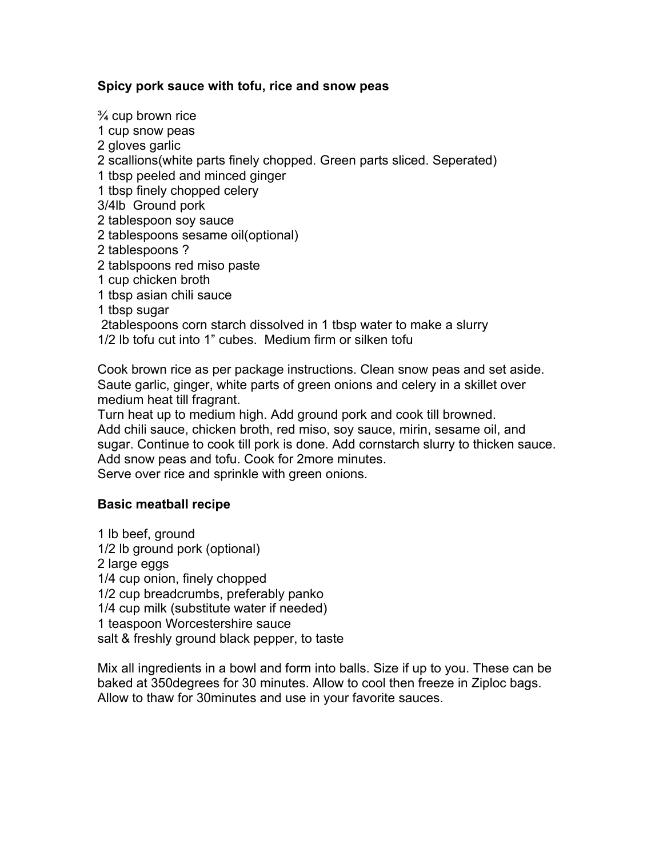## **Spicy pork sauce with tofu, rice and snow peas**

¾ cup brown rice 1 cup snow peas 2 gloves garlic 2 scallions(white parts finely chopped. Green parts sliced. Seperated) 1 tbsp peeled and minced ginger 1 tbsp finely chopped celery 3/4lb Ground pork 2 tablespoon soy sauce 2 tablespoons sesame oil(optional) 2 tablespoons ? 2 tablspoons red miso paste 1 cup chicken broth 1 tbsp asian chili sauce 1 tbsp sugar 2tablespoons corn starch dissolved in 1 tbsp water to make a slurry 1/2 lb tofu cut into 1" cubes. Medium firm or silken tofu

Cook brown rice as per package instructions. Clean snow peas and set aside. Saute garlic, ginger, white parts of green onions and celery in a skillet over medium heat till fragrant.

Turn heat up to medium high. Add ground pork and cook till browned. Add chili sauce, chicken broth, red miso, soy sauce, mirin, sesame oil, and sugar. Continue to cook till pork is done. Add cornstarch slurry to thicken sauce. Add snow peas and tofu. Cook for 2more minutes. Serve over rice and sprinkle with green onions.

### **Basic meatball recipe**

1 lb beef, ground 1/2 lb ground pork (optional) 2 large eggs 1/4 cup onion, finely chopped 1/2 cup breadcrumbs, preferably panko 1/4 cup milk (substitute water if needed) 1 teaspoon Worcestershire sauce salt & freshly ground black pepper, to taste

Mix all ingredients in a bowl and form into balls. Size if up to you. These can be baked at 350degrees for 30 minutes. Allow to cool then freeze in Ziploc bags. Allow to thaw for 30minutes and use in your favorite sauces.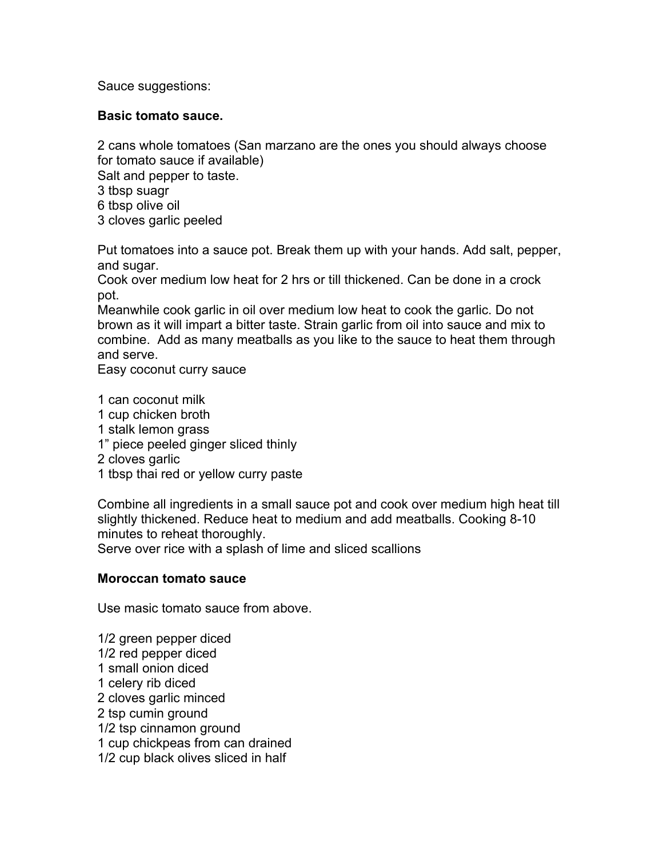Sauce suggestions:

## **Basic tomato sauce.**

2 cans whole tomatoes (San marzano are the ones you should always choose for tomato sauce if available)

Salt and pepper to taste.

- 3 tbsp suagr
- 6 tbsp olive oil
- 3 cloves garlic peeled

Put tomatoes into a sauce pot. Break them up with your hands. Add salt, pepper, and sugar.

Cook over medium low heat for 2 hrs or till thickened. Can be done in a crock pot.

Meanwhile cook garlic in oil over medium low heat to cook the garlic. Do not brown as it will impart a bitter taste. Strain garlic from oil into sauce and mix to combine. Add as many meatballs as you like to the sauce to heat them through and serve.

Easy coconut curry sauce

1 can coconut milk

- 1 cup chicken broth
- 1 stalk lemon grass
- 1" piece peeled ginger sliced thinly
- 2 cloves garlic
- 1 tbsp thai red or yellow curry paste

Combine all ingredients in a small sauce pot and cook over medium high heat till slightly thickened. Reduce heat to medium and add meatballs. Cooking 8-10 minutes to reheat thoroughly.

Serve over rice with a splash of lime and sliced scallions

### **Moroccan tomato sauce**

Use masic tomato sauce from above.

1/2 green pepper diced 1/2 red pepper diced 1 small onion diced 1 celery rib diced 2 cloves garlic minced 2 tsp cumin ground 1/2 tsp cinnamon ground 1 cup chickpeas from can drained 1/2 cup black olives sliced in half